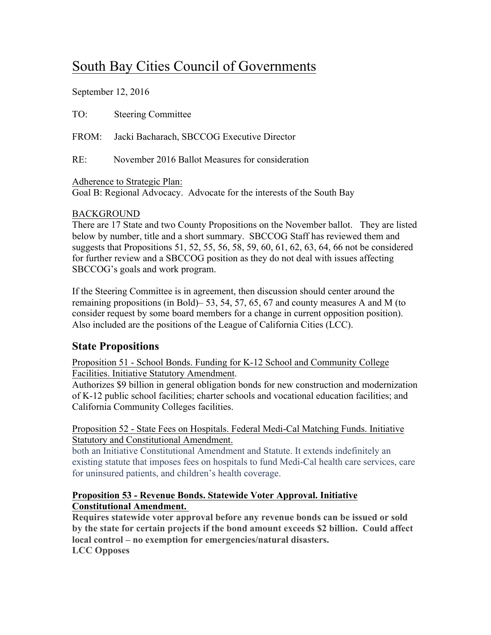# South Bay Cities Council of Governments

September 12, 2016

TO: Steering Committee

FROM: Jacki Bacharach, SBCCOG Executive Director

RE: November 2016 Ballot Measures for consideration

Adherence to Strategic Plan:

Goal B: Regional Advocacy. Advocate for the interests of the South Bay

### BACKGROUND

There are 17 State and two County Propositions on the November ballot. They are listed below by number, title and a short summary. SBCCOG Staff has reviewed them and suggests that Propositions 51, 52, 55, 56, 58, 59, 60, 61, 62, 63, 64, 66 not be considered for further review and a SBCCOG position as they do not deal with issues affecting SBCCOG's goals and work program.

If the Steering Committee is in agreement, then discussion should center around the remaining propositions (in Bold)– 53, 54, 57, 65, 67 and county measures A and M (to consider request by some board members for a change in current opposition position). Also included are the positions of the League of California Cities (LCC).

# **State Propositions**

Proposition 51 - School Bonds. Funding for K-12 School and Community College Facilities. Initiative Statutory Amendment.

Authorizes \$9 billion in general obligation bonds for new construction and modernization of K-12 public school facilities; charter schools and vocational education facilities; and California Community Colleges facilities.

#### Proposition 52 - State Fees on Hospitals. Federal Medi-Cal Matching Funds. Initiative Statutory and Constitutional Amendment.

both an Initiative Constitutional Amendment and Statute. It extends indefinitely an existing statute that imposes fees on hospitals to fund Medi-Cal health care services, care for uninsured patients, and children's health coverage.

#### **Proposition 53 - Revenue Bonds. Statewide Voter Approval. Initiative Constitutional Amendment.**

**Requires statewide voter approval before any revenue bonds can be issued or sold by the state for certain projects if the bond amount exceeds \$2 billion. Could affect local control – no exemption for emergencies/natural disasters. LCC Opposes**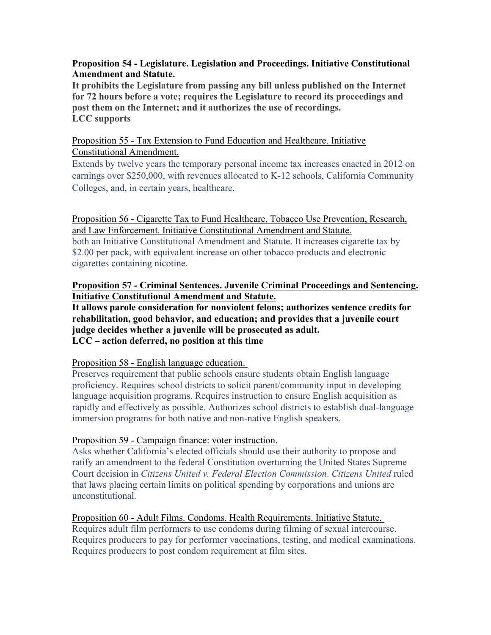#### **Proposition 54 - Legislature. Legislation and Proceedings. Initiative Constitutional Amendment and Statute.**

**It prohibits the Legislature from passing any bill unless published on the Internet for 72 hours before a vote; requires the Legislature to record its proceedings and post them on the Internet; and it authorizes the use of recordings. LCC supports**

#### Proposition 55 - Tax Extension to Fund Education and Healthcare. Initiative Constitutional Amendment.

Extends by twelve years the temporary personal income tax increases enacted in 2012 on earnings over \$250,000, with revenues allocated to K-12 schools, California Community Colleges, and, in certain years, healthcare.

Proposition 56 - Cigarette Tax to Fund Healthcare, Tobacco Use Prevention, Research, and Law Enforcement. Initiative Constitutional Amendment and Statute. both an Initiative Constitutional Amendment and Statute. It increases cigarette tax by \$2.00 per pack, with equivalent increase on other tobacco products and electronic cigarettes containing nicotine.

#### **Proposition 57 - Criminal Sentences. Juvenile Criminal Proceedings and Sentencing. Initiative Constitutional Amendment and Statute.**

**It allows parole consideration for nonviolent felons; authorizes sentence credits for rehabilitation, good behavior, and education; and provides that a juvenile court judge decides whether a juvenile will be prosecuted as adult. LCC – action deferred, no position at this time**

#### Proposition 58 - English language education.

Preserves requirement that public schools ensure students obtain English language proficiency. Requires school districts to solicit parent/community input in developing language acquisition programs. Requires instruction to ensure English acquisition as rapidly and effectively as possible. Authorizes school districts to establish dual-language immersion programs for both native and non-native English speakers.

#### Proposition 59 - Campaign finance: voter instruction.

Asks whether California's elected officials should use their authority to propose and ratify an amendment to the federal Constitution overturning the United States Supreme Court decision in *Citizens United v. Federal Election Commission*. *Citizens United* ruled that laws placing certain limits on political spending by corporations and unions are unconstitutional.

Proposition 60 - Adult Films. Condoms. Health Requirements. Initiative Statute. Requires adult film performers to use condoms during filming of sexual intercourse. Requires producers to pay for performer vaccinations, testing, and medical examinations. Requires producers to post condom requirement at film sites.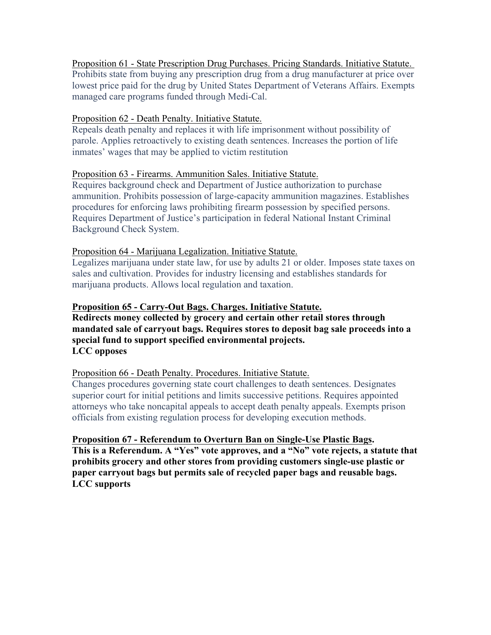Proposition 61 - State Prescription Drug Purchases. Pricing Standards. Initiative Statute. Prohibits state from buying any prescription drug from a drug manufacturer at price over lowest price paid for the drug by United States Department of Veterans Affairs. Exempts managed care programs funded through Medi-Cal.

#### Proposition 62 - Death Penalty. Initiative Statute.

Repeals death penalty and replaces it with life imprisonment without possibility of parole. Applies retroactively to existing death sentences. Increases the portion of life inmates' wages that may be applied to victim restitution

#### Proposition 63 - Firearms. Ammunition Sales. Initiative Statute.

Requires background check and Department of Justice authorization to purchase ammunition. Prohibits possession of large-capacity ammunition magazines. Establishes procedures for enforcing laws prohibiting firearm possession by specified persons. Requires Department of Justice's participation in federal National Instant Criminal Background Check System.

#### Proposition 64 - Marijuana Legalization. Initiative Statute.

Legalizes marijuana under state law, for use by adults 21 or older. Imposes state taxes on sales and cultivation. Provides for industry licensing and establishes standards for marijuana products. Allows local regulation and taxation.

#### **Proposition 65 - Carry-Out Bags. Charges. Initiative Statute.**

**Redirects money collected by grocery and certain other retail stores through mandated sale of carryout bags. Requires stores to deposit bag sale proceeds into a special fund to support specified environmental projects. LCC opposes**

#### Proposition 66 - Death Penalty. Procedures. Initiative Statute.

Changes procedures governing state court challenges to death sentences. Designates superior court for initial petitions and limits successive petitions. Requires appointed attorneys who take noncapital appeals to accept death penalty appeals. Exempts prison officials from existing regulation process for developing execution methods.

#### **Proposition 67 - Referendum to Overturn Ban on Single-Use Plastic Bags.**

**This is a Referendum. A "Yes" vote approves, and a "No" vote rejects, a statute that prohibits grocery and other stores from providing customers single-use plastic or paper carryout bags but permits sale of recycled paper bags and reusable bags. LCC supports**